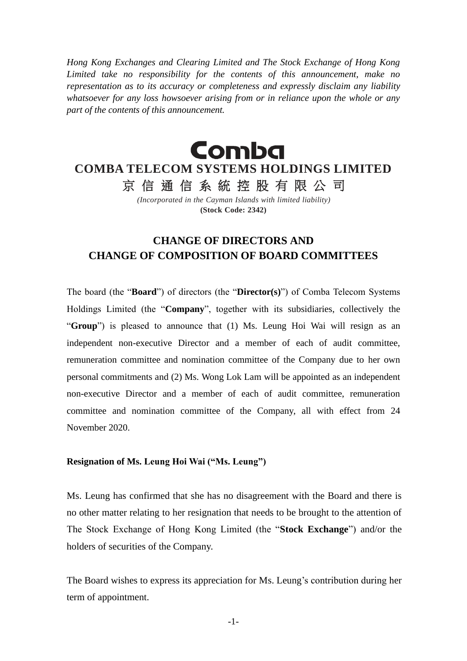*Hong Kong Exchanges and Clearing Limited and The Stock Exchange of Hong Kong Limited take no responsibility for the contents of this announcement, make no representation as to its accuracy or completeness and expressly disclaim any liability whatsoever for any loss howsoever arising from or in reliance upon the whole or any part of the contents of this announcement.*

**Comba COMBA TELECOM SYSTEMS HOLDINGS LIMITED**

京 信 通 信 系 統 控 股 有 限 公 司

*(Incorporated in the Cayman Islands with limited liability)* **(Stock Code: 2342)**

## **CHANGE OF DIRECTORS AND CHANGE OF COMPOSITION OF BOARD COMMITTEES**

The board (the "**Board**") of directors (the "**Director(s)**") of Comba Telecom Systems Holdings Limited (the "**Company**", together with its subsidiaries, collectively the "**Group**") is pleased to announce that (1) Ms. Leung Hoi Wai will resign as an independent non-executive Director and a member of each of audit committee, remuneration committee and nomination committee of the Company due to her own personal commitments and (2) Ms. Wong Lok Lam will be appointed as an independent non-executive Director and a member of each of audit committee, remuneration committee and nomination committee of the Company, all with effect from 24 November 2020.

## **Resignation of Ms. Leung Hoi Wai ("Ms. Leung")**

Ms. Leung has confirmed that she has no disagreement with the Board and there is no other matter relating to her resignation that needs to be brought to the attention of The Stock Exchange of Hong Kong Limited (the "**Stock Exchange**") and/or the holders of securities of the Company.

The Board wishes to express its appreciation for Ms. Leung's contribution during her term of appointment.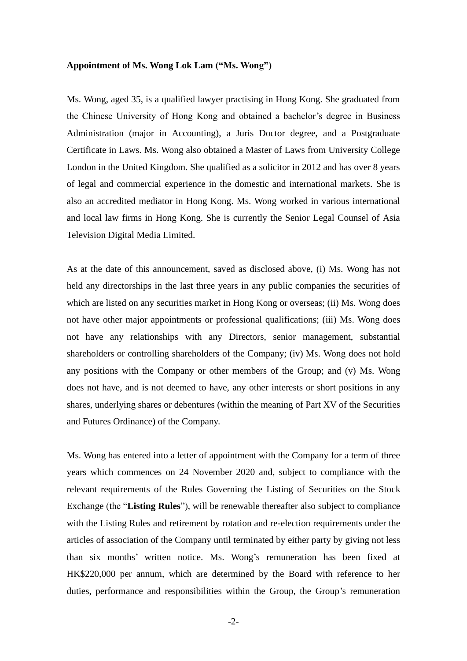## **Appointment of Ms. Wong Lok Lam ("Ms. Wong")**

Ms. Wong, aged 35, is a qualified lawyer practising in Hong Kong. She graduated from the Chinese University of Hong Kong and obtained a bachelor's degree in Business Administration (major in Accounting), a Juris Doctor degree, and a Postgraduate Certificate in Laws. Ms. Wong also obtained a Master of Laws from University College London in the United Kingdom. She qualified as a solicitor in 2012 and has over 8 years of legal and commercial experience in the domestic and international markets. She is also an accredited mediator in Hong Kong. Ms. Wong worked in various international and local law firms in Hong Kong. She is currently the Senior Legal Counsel of Asia Television Digital Media Limited.

As at the date of this announcement, saved as disclosed above, (i) Ms. Wong has not held any directorships in the last three years in any public companies the securities of which are listed on any securities market in Hong Kong or overseas; (ii) Ms. Wong does not have other major appointments or professional qualifications; (iii) Ms. Wong does not have any relationships with any Directors, senior management, substantial shareholders or controlling shareholders of the Company; (iv) Ms. Wong does not hold any positions with the Company or other members of the Group; and (v) Ms. Wong does not have, and is not deemed to have, any other interests or short positions in any shares, underlying shares or debentures (within the meaning of Part XV of the Securities and Futures Ordinance) of the Company.

Ms. Wong has entered into a letter of appointment with the Company for a term of three years which commences on 24 November 2020 and, subject to compliance with the relevant requirements of the Rules Governing the Listing of Securities on the Stock Exchange (the "**Listing Rules**"), will be renewable thereafter also subject to compliance with the Listing Rules and retirement by rotation and re-election requirements under the articles of association of the Company until terminated by either party by giving not less than six months' written notice. Ms. Wong's remuneration has been fixed at HK\$220,000 per annum, which are determined by the Board with reference to her duties, performance and responsibilities within the Group, the Group's remuneration